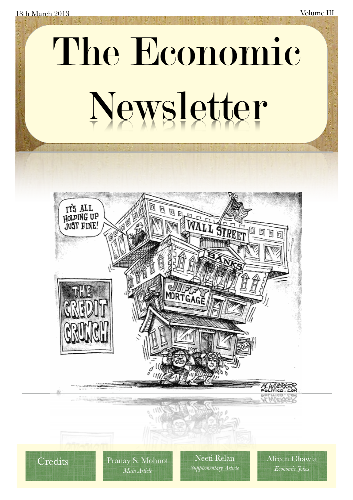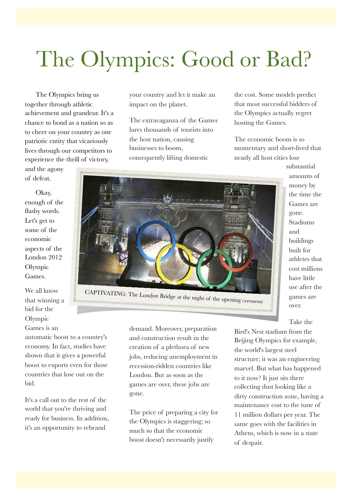## The Olympics: Good or Bad?

The Olympics bring us together through athletic achievement and grandeur. It's a chance to bond as a nation so as to cheer on your country as one patriotic entity that vicariously lives through our competitors to experience the thrill of victory,

and the agony of defeat.

Okay, enough of the flashy words. Let's get to some of the economic aspects of the London 2012 Olympic Games.

We all know that winning a bid for the Olympic

Games is an

automatic boost to a country's economy. In fact, studies have shown that it gives a powerful boost to exports even for those countries that lose out on the bid.

It's a call out to the rest of the world that you're thriving and ready for business. In addition, it's an opportunity to rebrand

your country and let it make an impact on the planet.

The extravaganza of the Games lures thousands of tourists into the host nation, causing businesses to boom, consequently lifting domestic

the cost. Some models predict that most successful bidders of the Olympics actually regret hosting the Games.

The economic boom is so momentary and short-lived that nearly all host cities lose



demand. Moreover, preparation and construction result in the creation of a plethora of new jobs, reducing unemployment in recession-ridden countries like London. But as soon as the games are over, these jobs are gone.

The price of preparing a city for the Olympics is staggering; so much so that the economic boost doesn't necessarily justify

substantial amounts of money by the time the Games are gone. Stadiums and buildings built for athletes that cost millions have little use after the games are over.

Take the

Bird's Nest stadium from the Beijing Olympics for example, the world's largest steel structure; it was an engineering marvel. But what has happened to it now? It just sits there collecting dust looking like a dirty construction zone, having a maintenance cost to the tune of 11 million dollars per year. The same goes with the facilities in Athens, which is now in a state of despair.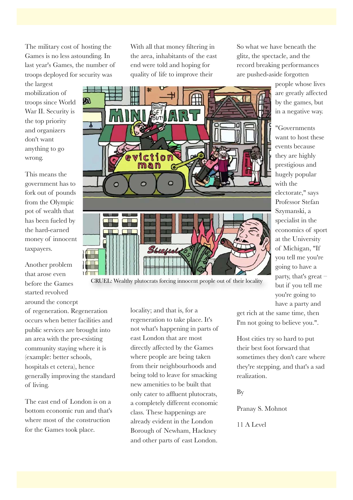The military cost of hosting the Games is no less astounding. In last year's Games, the number of troops deployed for security was

the largest mobilization of troops since World War II. Security is the top priority and organizers don't want anything to go wrong.

This means the government has to fork out of pounds from the Olympic pot of wealth that has been fueled by the hard-earned money of innocent taxpayers.

Another problem that arose even before the Games started revolved around the concept

of regeneration. Regeneration occurs when better facilities and public services are brought into an area with the pre-existing community staying where it is (example: better schools, hospitals et cetera), hence generally improving the standard of living.

The east end of London is on a bottom economic run and that's where most of the construction for the Games took place.

With all that money filtering in the area, inhabitants of the east end were told and hoping for quality of life to improve their

So what we have beneath the glitz, the spectacle, and the record breaking performances are pushed-aside forgotten

> people whose lives are greatly affected by the games, but in a negative way.

> "Governments want to host these events because they are highly prestigious and hugely popular with the electorate," says Professor Stefan Szymanski, a specialist in the economics of sport at the University of Michigan, "If you tell me you're going to have a party, that's great – but if you tell me you're going to have a party and



CRUEL: Wealthy plutocrats forcing innocent people out of their locality

locality; and that is, for a regeneration to take place. It's not what's happening in parts of east London that are most directly affected by the Games where people are being taken from their neighbourhoods and being told to leave for smacking new amenities to be built that only cater to affluent plutocrats, a completely different economic class. These happenings are already evident in the London Borough of Newham, Hackney and other parts of east London.

get rich at the same time, then I'm not going to believe you.".

Host cities try so hard to put their best foot forward that sometimes they don't care where they're stepping, and that's a sad realization.

By

Pranay S. Mohnot

11 A Level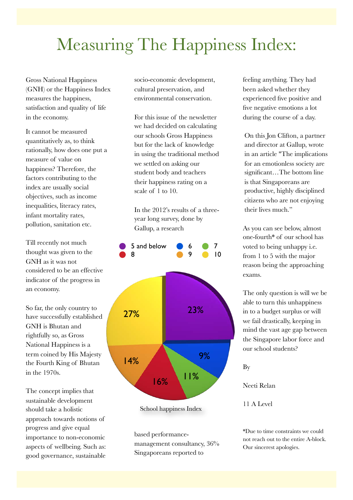## Measuring The Happiness Index:

Gross National Happiness (GNH) or the Happiness Index measures the happiness, satisfaction and quality of life in the economy.

It cannot be measured quantitatively as, to think rationally, how does one put a measure of value on happiness? Therefore, the factors contributing to the index are usually social objectives, such as income inequalities, literacy rates, infant mortality rates, pollution, sanitation etc.

Till recently not much thought was given to the GNH as it was not considered to be an effective indicator of the progress in an economy.

So far, the only country to have successfully established GNH is Bhutan and rightfully so, as Gross National Happiness is a term coined by His Majesty the Fourth King of Bhutan in the 1970s.

The concept implies that sustainable development should take a holistic approach towards notions of progress and give equal importance to non-economic aspects of wellbeing. Such as: good governance, sustainable socio-economic development, cultural preservation, and environmental conservation.

For this issue of the newsletter we had decided on calculating our schools Gross Happiness but for the lack of knowledge in using the traditional method we settled on asking our student body and teachers their happiness rating on a scale of 1 to 10.

In the 2012's results of a threeyear long survey, done by Gallup, a research



School happiness Index

based performancemanagement consultancy, 36% Singaporeans reported to

feeling anything. They had been asked whether they experienced five positive and five negative emotions a lot during the course of a day.

On this Jon Clifton, a partner and director at Gallup, wrote in an article "The implications for an emotionless society are significant…The bottom line is that Singaporeans are productive, highly disciplined citizens who are not enjoying their lives much."

As you can see below, almost one-fourth\* of our school has voted to being unhappy i.e. from 1 to 5 with the major reason being the approaching exams.

The only question is will we be able to turn this unhappiness in to a budget surplus or will we fail drastically, keeping in mind the vast age gap between the Singapore labor force and our school students?

By

Neeti Relan

11 A Level

\*Due to time constraints we could not reach out to the entire A-block. Our sincerest apologies.